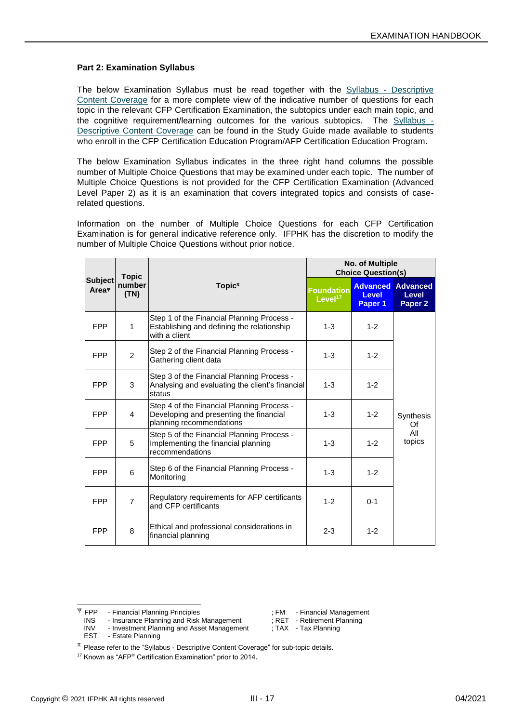## **Part 2: Examination Syllabus**

The below Examination Syllabus must be read together with the Syllabus - Descriptive Content Coverage for a more complete view of the indicative number of questions for each topic in the relevant CFP Certification Examination, the subtopics under each main topic, and<br>the cognitive requirement/learning outcomes for the various subtopics. The Syllabus the cognitive requirement/learning outcomes for the various subtopics. Descriptive Content Coverage can be found in the Study Guide made available to students who enroll in the CFP Certification Education Program/AFP Certification Education Program.

The below Examination Syllabus indicates in the three right hand columns the possible number of Multiple Choice Questions that may be examined under each topic. The number of Multiple Choice Questions is not provided for the CFP Certification Examination (Advanced Level Paper 2) as it is an examination that covers integrated topics and consists of caserelated questions.

Information on the number of Multiple Choice Questions for each CFP Certification Examination is for general indicative reference only. IFPHK has the discretion to modify the number of Multiple Choice Questions without prior notice.

| <b>Subject</b><br>Area <sup>w</sup> |                | <b>Topic</b>                                                                                                      |                                          | <b>No. of Multiple</b><br><b>Choice Question(s)</b> |                                                |  |
|-------------------------------------|----------------|-------------------------------------------------------------------------------------------------------------------|------------------------------------------|-----------------------------------------------------|------------------------------------------------|--|
|                                     | number<br>(TN) | Topic $\pi$                                                                                                       | <b>Foundation</b><br>Level <sup>17</sup> | <b>Advanced</b><br><b>Level</b><br>Paper 1          | <b>Advanced</b><br>Level<br>Paper <sub>2</sub> |  |
| <b>FPP</b>                          | 1              | Step 1 of the Financial Planning Process -<br>Establishing and defining the relationship<br>with a client         | $1 - 3$                                  | $1 - 2$                                             |                                                |  |
| <b>FPP</b>                          | 2              | Step 2 of the Financial Planning Process -<br>Gathering client data                                               | $1 - 3$                                  | $1 - 2$                                             |                                                |  |
| <b>FPP</b>                          | 3              | Step 3 of the Financial Planning Process -<br>Analysing and evaluating the client's financial<br>status           | $1 - 3$                                  | $1 - 2$                                             |                                                |  |
| <b>FPP</b>                          | 4              | Step 4 of the Financial Planning Process -<br>Developing and presenting the financial<br>planning recommendations | $1 - 3$                                  | $1 - 2$                                             | Synthesis<br>Of                                |  |
| <b>FPP</b>                          | 5              | Step 5 of the Financial Planning Process -<br>Implementing the financial planning<br>recommendations              | $1 - 3$                                  | $1 - 2$                                             | All<br>topics                                  |  |
| <b>FPP</b>                          | 6              | Step 6 of the Financial Planning Process -<br>Monitoring                                                          | $1 - 3$                                  | $1 - 2$                                             |                                                |  |
| <b>FPP</b>                          | $\overline{7}$ | Regulatory requirements for AFP certificants<br>and CFP certificants                                              | $1 - 2$                                  | $0 - 1$                                             |                                                |  |
| <b>FPP</b>                          | 8              | Ethical and professional considerations in<br>financial planning                                                  | $2 - 3$                                  | $1 - 2$                                             |                                                |  |

INS - Insurance Planning and Risk Management<br>INV - Investment Planning and Asset Management INV - Investment Planning and Asset Management ; TAX - Tax Planning<br>EST - Estate Planning

- Estate Planning

 $\Psi$  FPP - Financial Planning Principles  $\Pi$ , FM - Financial Management<br>INS - Insurance Planning and Risk Management : RET - Retirement Planning

 $\pi$  Please refer to the "Syllabus - Descriptive Content Coverage" for sub-topic details.

 $17$  Known as "AFP® Certification Examination" prior to 2014.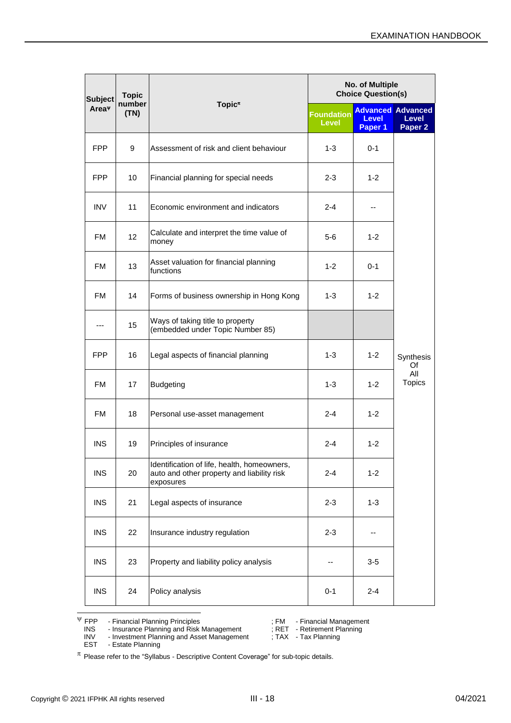| <b>Subject</b><br>Area <sup>v</sup> | <b>Topic</b>   |                                                                                                        | No. of Multiple<br><b>Choice Question(s)</b> |                         |                                                                |
|-------------------------------------|----------------|--------------------------------------------------------------------------------------------------------|----------------------------------------------|-------------------------|----------------------------------------------------------------|
|                                     | number<br>(TN) | Topic <sup><math>\pi</math></sup>                                                                      | <b>Foundation</b><br><b>Level</b>            | <b>Level</b><br>Paper 1 | <b>Advanced Advanced</b><br><b>Level</b><br>Paper <sub>2</sub> |
| <b>FPP</b>                          | 9              | Assessment of risk and client behaviour                                                                | $1 - 3$                                      | $0 - 1$                 |                                                                |
| <b>FPP</b>                          | 10             | Financial planning for special needs                                                                   | $2 - 3$                                      | $1 - 2$                 |                                                                |
| <b>INV</b>                          | 11             | Economic environment and indicators                                                                    | $2 - 4$                                      | ۰.                      |                                                                |
| <b>FM</b>                           | 12             | Calculate and interpret the time value of<br>money                                                     | $5-6$                                        | $1 - 2$                 |                                                                |
| <b>FM</b>                           | 13             | Asset valuation for financial planning<br>functions                                                    | $1 - 2$                                      | $0 - 1$                 |                                                                |
| <b>FM</b>                           | 14             | Forms of business ownership in Hong Kong                                                               | $1 - 3$                                      | $1 - 2$                 |                                                                |
|                                     | 15             | Ways of taking title to property<br>(embedded under Topic Number 85)                                   |                                              |                         |                                                                |
| <b>FPP</b>                          | 16             | Legal aspects of financial planning                                                                    | $1 - 3$                                      | $1 - 2$                 | Synthesis<br>Of                                                |
| <b>FM</b>                           | 17             | <b>Budgeting</b>                                                                                       | $1 - 3$                                      | $1 - 2$                 | All<br><b>Topics</b>                                           |
| <b>FM</b>                           | 18             | Personal use-asset management                                                                          | $2 - 4$                                      | $1 - 2$                 |                                                                |
| <b>INS</b>                          | 19             | Principles of insurance                                                                                | $2 - 4$                                      | $1 - 2$                 |                                                                |
| <b>INS</b>                          | 20             | Identification of life, health, homeowners,<br>auto and other property and liability risk<br>exposures | $2 - 4$                                      | $1 - 2$                 |                                                                |
| <b>INS</b>                          | 21             | Legal aspects of insurance                                                                             | $2 - 3$                                      | $1 - 3$                 |                                                                |
| <b>INS</b>                          | 22             | Insurance industry regulation                                                                          | $2 - 3$                                      | --                      |                                                                |
| <b>INS</b>                          | 23             | Property and liability policy analysis                                                                 |                                              | $3-5$                   |                                                                |
| <b>INS</b>                          | 24             | Policy analysis                                                                                        | $0 - 1$                                      | $2 - 4$                 |                                                                |

 $\Psi$  FPP - Financial Planning Principles  $\Psi$  ; FM - Financial Management

INS - Insurance Planning and Risk Management ; RET - Retirement Planning

EST - Estate Planning

 $\pi$  Please refer to the "Syllabus - Descriptive Content Coverage" for sub-topic details.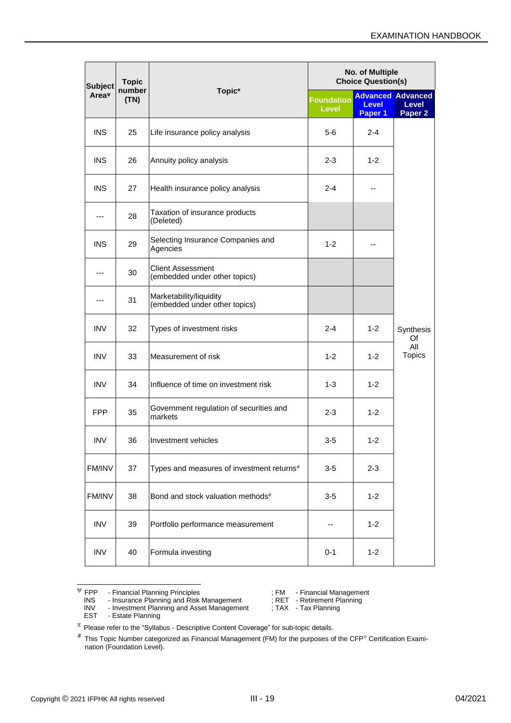| <b>Subject</b><br>Area <sup>v</sup> | <b>Topic</b><br>number<br>(TN) | Topic <sup><math>\pi</math></sup>                         | No. of Multiple<br><b>Choice Question(s)</b> |                         |                                                                |
|-------------------------------------|--------------------------------|-----------------------------------------------------------|----------------------------------------------|-------------------------|----------------------------------------------------------------|
|                                     |                                |                                                           | <b>Foundation</b><br>Level                   | <b>Level</b><br>Paper 1 | <b>Advanced Advanced</b><br><b>Level</b><br>Paper <sub>2</sub> |
| <b>INS</b>                          | 25                             | Life insurance policy analysis                            | 5-6                                          | 2-4                     |                                                                |
| <b>INS</b>                          | 26                             | Annuity policy analysis                                   | $2 - 3$                                      | $1 - 2$                 |                                                                |
| <b>INS</b>                          | 27                             | Health insurance policy analysis                          | $2 - 4$                                      |                         |                                                                |
| ---                                 | 28                             | Taxation of insurance products<br>(Deleted)               |                                              |                         |                                                                |
| <b>INS</b>                          | 29                             | Selecting Insurance Companies and<br>Agencies             | $1 - 2$                                      |                         |                                                                |
|                                     | 30                             | <b>Client Assessment</b><br>(embedded under other topics) |                                              |                         |                                                                |
|                                     | 31                             | Marketability/liquidity<br>(embedded under other topics)  |                                              |                         | Synthesis<br>Of                                                |
| <b>INV</b>                          | 32                             | Types of investment risks                                 | $2 - 4$                                      | $1 - 2$                 |                                                                |
| <b>INV</b>                          | 33                             | Measurement of risk                                       | $1 - 2$                                      | $1 - 2$                 | All<br><b>Topics</b>                                           |
| <b>INV</b>                          | 34                             | Influence of time on investment risk                      | $1 - 3$                                      | $1 - 2$                 |                                                                |
| <b>FPP</b>                          | 35                             | Government regulation of securities and<br>markets        | $2 - 3$                                      | $1 - 2$                 |                                                                |
| <b>INV</b>                          | 36                             | Investment vehicles                                       | $3-5$                                        | $1 - 2$                 |                                                                |
| FM/INV                              | 37                             | Types and measures of investment returns#                 | $3-5$                                        | $2 - 3$                 |                                                                |
| FM/INV                              | 38                             | Bond and stock valuation methods#                         | $3-5$                                        | $1 - 2$                 |                                                                |
| <b>INV</b>                          | 39                             | Portfolio performance measurement                         |                                              | $1 - 2$                 |                                                                |
| <b>INV</b>                          | 40                             | Formula investing                                         | $0 - 1$                                      | $1 - 2$                 |                                                                |

INV - Investment Planning and Asset Management ; TAX - Tax Planning EST - Estate Planning

<sup>&</sup>lt;sup>V</sup> FPP - Financial Planning Principles ; FM - Financial Management<br>
INS - Insurance Planning and Risk Management ; RET - Retirement Planning<br>
INV - Investment Planning and Asset Management ; TAX - Tax Planning INS - Insurance Planning and Risk Management<br>INV - Investment Planning and Asset Management

 $\pi$  Please refer to the "Syllabus - Descriptive Content Coverage" for sub-topic details.

 $*$  This Topic Number categorized as Financial Management (FM) for the purposes of the CFP® Certification Examination (Foundation Level).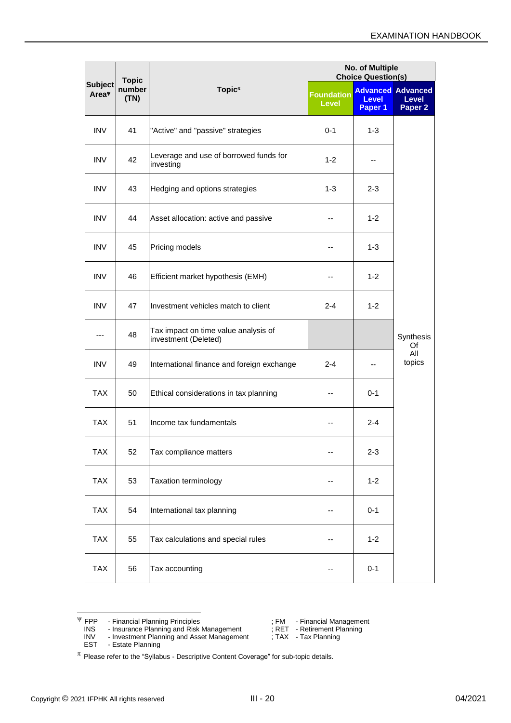| <b>Subject</b><br>Area <sup>v</sup> | <b>Topic</b>   |                                                              | No. of Multiple<br><b>Choice Question(s)</b> |                         |                                                         |
|-------------------------------------|----------------|--------------------------------------------------------------|----------------------------------------------|-------------------------|---------------------------------------------------------|
|                                     | number<br>(TN) | Topic <sup><math>\pi</math></sup>                            | <b>Foundation</b><br><b>Level</b>            | <b>Level</b><br>Paper 1 | <b>Advanced Advanced</b><br>Level<br>Paper <sub>2</sub> |
| <b>INV</b>                          | 41             | "Active" and "passive" strategies                            | $0 - 1$                                      | $1 - 3$                 |                                                         |
| <b>INV</b>                          | 42             | Leverage and use of borrowed funds for<br>investing          | $1 - 2$                                      | --                      |                                                         |
| <b>INV</b>                          | 43             | Hedging and options strategies                               | 1-3                                          | $2 - 3$                 |                                                         |
| <b>INV</b>                          | 44             | Asset allocation: active and passive                         |                                              | $1 - 2$                 |                                                         |
| <b>INV</b>                          | 45             | Pricing models                                               |                                              | $1 - 3$                 |                                                         |
| <b>INV</b>                          | 46             | Efficient market hypothesis (EMH)                            |                                              | $1 - 2$                 |                                                         |
| <b>INV</b>                          | 47             | Investment vehicles match to client                          | $2 - 4$                                      | $1 - 2$                 |                                                         |
|                                     | 48             | Tax impact on time value analysis of<br>investment (Deleted) |                                              |                         | Synthesis<br>Of                                         |
| <b>INV</b>                          | 49             | International finance and foreign exchange                   | $2 - 4$                                      |                         | All<br>topics                                           |
| <b>TAX</b>                          | 50             | Ethical considerations in tax planning                       |                                              | $0 - 1$                 |                                                         |
| <b>TAX</b>                          | 51             | Income tax fundamentals                                      |                                              | $2 - 4$                 |                                                         |
| <b>TAX</b>                          | 52             | Tax compliance matters                                       |                                              | $2 - 3$                 |                                                         |
| <b>TAX</b>                          | 53             | Taxation terminology                                         |                                              | $1 - 2$                 |                                                         |
| <b>TAX</b>                          | 54             | International tax planning                                   |                                              | $0 - 1$                 |                                                         |
| <b>TAX</b>                          | 55             | Tax calculations and special rules                           |                                              | $1 - 2$                 |                                                         |
| <b>TAX</b>                          | 56             | Tax accounting                                               |                                              | $0 - 1$                 |                                                         |

 $\Psi$  FPP - Financial Planning Principles  $\Psi$  ; FM - Financial Management

INV - Investment Planning and Asset Management ; TAX - Tax Planning EST - Estate Planning

INS - Insurance Planning and Risk Management ; RET - Retirement Planning

 $\pi$  Please refer to the "Syllabus - Descriptive Content Coverage" for sub-topic details.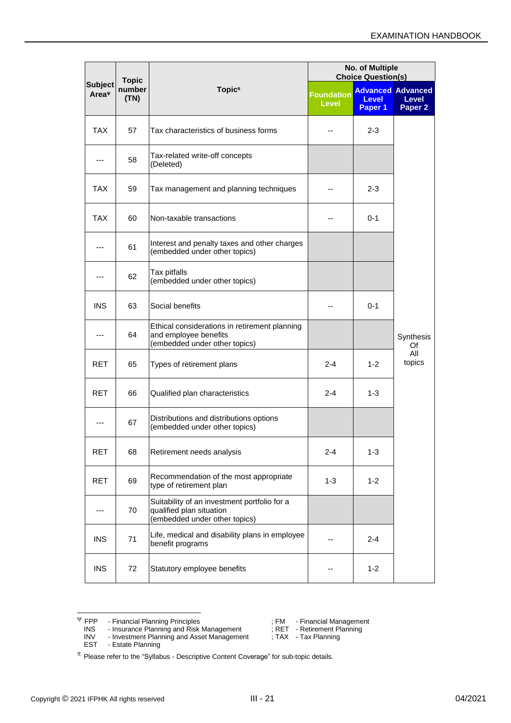|                                     | <b>Topic</b>   |                                                                                                           | No. of Multiple<br><b>Choice Question(s)</b> |                         |                                                                |
|-------------------------------------|----------------|-----------------------------------------------------------------------------------------------------------|----------------------------------------------|-------------------------|----------------------------------------------------------------|
| <b>Subject</b><br>Area <sup>v</sup> | number<br>(TN) | Topic <sup><math>\pi</math></sup>                                                                         | <b>Foundation</b><br><b>Level</b>            | <b>Level</b><br>Paper 1 | <b>Advanced Advanced</b><br><b>Level</b><br>Paper <sub>2</sub> |
| <b>TAX</b>                          | 57             | Tax characteristics of business forms                                                                     |                                              | $2 - 3$                 |                                                                |
| ---                                 | 58             | Tax-related write-off concepts<br>(Deleted)                                                               |                                              |                         |                                                                |
| <b>TAX</b>                          | 59             | Tax management and planning techniques                                                                    |                                              | 2-3                     |                                                                |
| <b>TAX</b>                          | 60             | Non-taxable transactions                                                                                  |                                              | 0-1                     |                                                                |
| ---                                 | 61             | Interest and penalty taxes and other charges<br>(embedded under other topics)                             |                                              |                         |                                                                |
|                                     | 62             | Tax pitfalls<br>(embedded under other topics)                                                             |                                              |                         |                                                                |
| <b>INS</b>                          | 63             | Social benefits                                                                                           |                                              | 0-1                     | Synthesis<br>Of                                                |
| ---                                 | 64             | Ethical considerations in retirement planning<br>and employee benefits<br>(embedded under other topics)   |                                              |                         |                                                                |
| <b>RET</b>                          | 65             | Types of retirement plans                                                                                 | $2 - 4$                                      | $1 - 2$                 | All<br>topics                                                  |
| <b>RET</b>                          | 66             | Qualified plan characteristics                                                                            | $2 - 4$                                      | $1 - 3$                 |                                                                |
| ---                                 | 67             | Distributions and distributions options<br>(embedded under other topics)                                  |                                              |                         |                                                                |
| <b>RET</b>                          | 68             | Retirement needs analysis                                                                                 | $2 - 4$                                      | $1 - 3$                 |                                                                |
| <b>RET</b>                          | 69             | Recommendation of the most appropriate<br>type of retirement plan                                         | $1 - 3$                                      | $1 - 2$                 |                                                                |
| ---                                 | 70             | Suitability of an investment portfolio for a<br>qualified plan situation<br>(embedded under other topics) |                                              |                         |                                                                |
| <b>INS</b>                          | 71             | Life, medical and disability plans in employee<br>benefit programs                                        |                                              | $2 - 4$                 |                                                                |
| <b>INS</b>                          | 72             | Statutory employee benefits                                                                               |                                              | $1 - 2$                 |                                                                |

 $\Psi$  FPP - Financial Planning Principles  $\Psi$  ; FM - Financial Management

INS - Insurance Planning and Risk Management ; RET - Retirement Planning

- 
- EST Estate Planning

INV - Investment Planning and Asset Management ; TAX - Tax Planning

 $\pi$  Please refer to the "Syllabus - Descriptive Content Coverage" for sub-topic details.